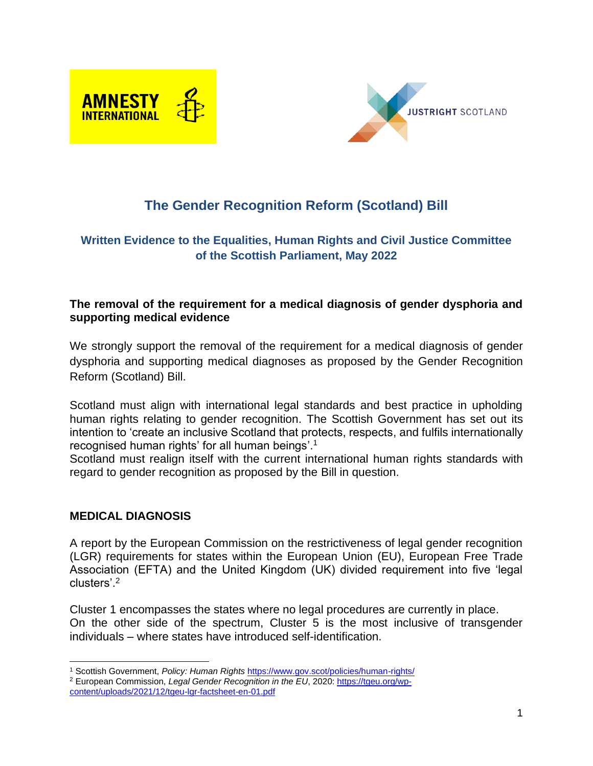



# **The Gender Recognition Reform (Scotland) Bill**

### **Written Evidence to the Equalities, Human Rights and Civil Justice Committee of the Scottish Parliament, May 2022**

#### **The removal of the requirement for a medical diagnosis of gender dysphoria and supporting medical evidence**

We strongly support the removal of the requirement for a medical diagnosis of gender dysphoria and supporting medical diagnoses as proposed by the Gender Recognition Reform (Scotland) Bill.

Scotland must align with international legal standards and best practice in upholding human rights relating to gender recognition. The Scottish Government has set out its intention to 'create an inclusive Scotland that protects, respects, and fulfils internationally recognised human rights' for all human beings'. 1

Scotland must realign itself with the current international human rights standards with regard to gender recognition as proposed by the Bill in question.

#### **MEDICAL DIAGNOSIS**

A report by the European Commission on the restrictiveness of legal gender recognition (LGR) requirements for states within the European Union (EU), European Free Trade Association (EFTA) and the United Kingdom (UK) divided requirement into five 'legal clusters'. 2

Cluster 1 encompasses the states where no legal procedures are currently in place. On the other side of the spectrum, Cluster 5 is the most inclusive of transgender individuals – where states have introduced self-identification.

<sup>1</sup> Scottish Government, *Policy: Human Rights* <https://www.gov.scot/policies/human-rights/> <sup>2</sup> European Commission, *Legal Gender Recognition in the EU*, 2020: [https://tgeu.org/wp](https://tgeu.org/wp-content/uploads/2021/12/tgeu-lgr-factsheet-en-01.pdf)[content/uploads/2021/12/tgeu-lgr-factsheet-en-01.pdf](https://tgeu.org/wp-content/uploads/2021/12/tgeu-lgr-factsheet-en-01.pdf)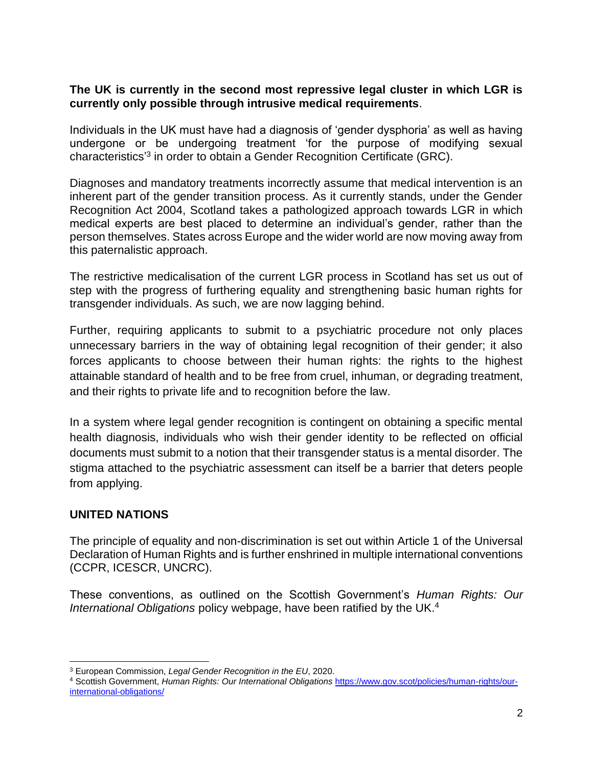#### **The UK is currently in the second most repressive legal cluster in which LGR is currently only possible through intrusive medical requirements**.

Individuals in the UK must have had a diagnosis of 'gender dysphoria' as well as having undergone or be undergoing treatment 'for the purpose of modifying sexual characteristics<sup>3</sup> in order to obtain a Gender Recognition Certificate (GRC).

Diagnoses and mandatory treatments incorrectly assume that medical intervention is an inherent part of the gender transition process. As it currently stands, under the Gender Recognition Act 2004, Scotland takes a pathologized approach towards LGR in which medical experts are best placed to determine an individual's gender, rather than the person themselves. States across Europe and the wider world are now moving away from this paternalistic approach.

The restrictive medicalisation of the current LGR process in Scotland has set us out of step with the progress of furthering equality and strengthening basic human rights for transgender individuals. As such, we are now lagging behind.

Further, requiring applicants to submit to a psychiatric procedure not only places unnecessary barriers in the way of obtaining legal recognition of their gender; it also forces applicants to choose between their human rights: the rights to the highest attainable standard of health and to be free from cruel, inhuman, or degrading treatment, and their rights to private life and to recognition before the law.

In a system where legal gender recognition is contingent on obtaining a specific mental health diagnosis, individuals who wish their gender identity to be reflected on official documents must submit to a notion that their transgender status is a mental disorder. The stigma attached to the psychiatric assessment can itself be a barrier that deters people from applying.

# **UNITED NATIONS**

The principle of equality and non-discrimination is set out within Article 1 of the Universal Declaration of Human Rights and is further enshrined in multiple international conventions (CCPR, ICESCR, UNCRC).

These conventions, as outlined on the Scottish Government's *Human Rights: Our International Obligations* policy webpage, have been ratified by the UK. 4

<sup>3</sup> European Commission, *Legal Gender Recognition in the EU*, 2020.

<sup>4</sup> Scottish Government, *Human Rights: Our International Obligations* [https://www.gov.scot/policies/human-rights/our](https://www.gov.scot/policies/human-rights/our-international-obligations/)[international-obligations/](https://www.gov.scot/policies/human-rights/our-international-obligations/)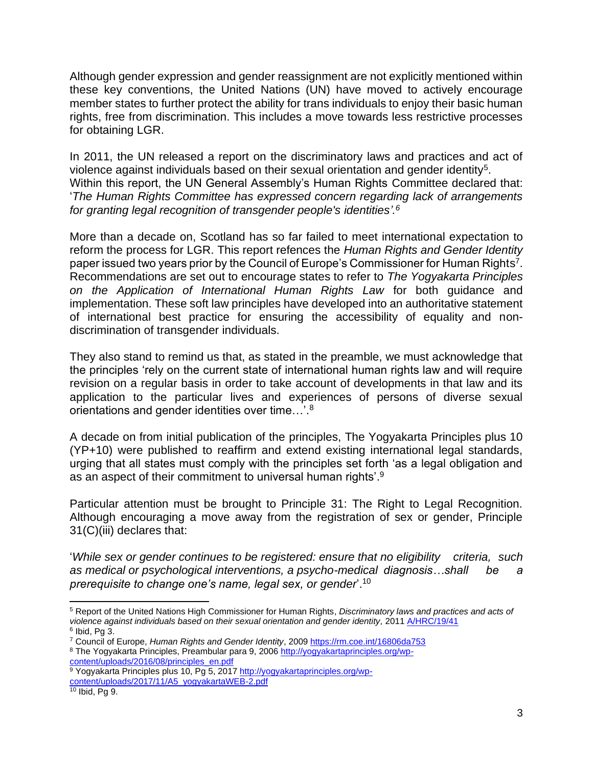Although gender expression and gender reassignment are not explicitly mentioned within these key conventions, the United Nations (UN) have moved to actively encourage member states to further protect the ability for trans individuals to enjoy their basic human rights, free from discrimination. This includes a move towards less restrictive processes for obtaining LGR.

In 2011, the UN released a report on the discriminatory laws and practices and act of violence against individuals based on their sexual orientation and gender identity<sup>5</sup>. Within this report, the UN General Assembly's Human Rights Committee declared that: '*The Human Rights Committee has expressed concern regarding lack of arrangements for granting legal recognition of transgender people's identities'. 6*

More than a decade on, Scotland has so far failed to meet international expectation to reform the process for LGR. This report refences the *Human Rights and Gender Identity*  paper issued two years prior by the Council of Europe's Commissioner for Human Rights<sup>7</sup>. Recommendations are set out to encourage states to refer to *The Yogyakarta Principles on the Application of International Human Rights Law* for both guidance and implementation. These soft law principles have developed into an authoritative statement of international best practice for ensuring the accessibility of equality and nondiscrimination of transgender individuals.

They also stand to remind us that, as stated in the preamble, we must acknowledge that the principles 'rely on the current state of international human rights law and will require revision on a regular basis in order to take account of developments in that law and its application to the particular lives and experiences of persons of diverse sexual orientations and gender identities over time...'. $^8$ 

A decade on from initial publication of the principles, The Yogyakarta Principles plus 10 (YP+10) were published to reaffirm and extend existing international legal standards, urging that all states must comply with the principles set forth 'as a legal obligation and as an aspect of their commitment to universal human rights'. $9$ 

Particular attention must be brought to Principle 31: The Right to Legal Recognition. Although encouraging a move away from the registration of sex or gender, Principle 31(C)(iii) declares that:

'*While sex or gender continues to be registered: ensure that no eligibility criteria, such as medical or psychological interventions, a psycho-medical diagnosis…shall be a prerequisite to change one's name, legal sex, or gender*'. 10

[content/uploads/2016/08/principles\\_en.pdf](http://yogyakartaprinciples.org/wp-content/uploads/2016/08/principles_en.pdf)

<sup>5</sup> Report of the United Nations High Commissioner for Human Rights, *Discriminatory laws and practices and acts of*  violence against individuals based on their sexual orientation and gender identity, 2011 [A/HRC/19/41](https://documents-dds-ny.un.org/doc/UNDOC/GEN/G11/170/75/PDF/G1117075.pdf?OpenElement)

 $6$  Ibid, Pg 3.

<sup>7</sup> Council of Europe, *Human Rights and Gender Identity*, 200[9 https://rm.coe.int/16806da753](https://rm.coe.int/16806da753) <sup>8</sup> The Yogyakarta Principles, Preambular para 9, 2006 [http://yogyakartaprinciples.org/wp-](http://yogyakartaprinciples.org/wp-content/uploads/2016/08/principles_en.pdf)

<sup>9</sup> Yogyakarta Principles plus 10, Pg 5, 201[7 http://yogyakartaprinciples.org/wp](http://yogyakartaprinciples.org/wp-content/uploads/2017/11/A5_yogyakartaWEB-2.pdf)[content/uploads/2017/11/A5\\_yogyakartaWEB-2.pdf](http://yogyakartaprinciples.org/wp-content/uploads/2017/11/A5_yogyakartaWEB-2.pdf)

<sup>10</sup> Ibid, Pg 9.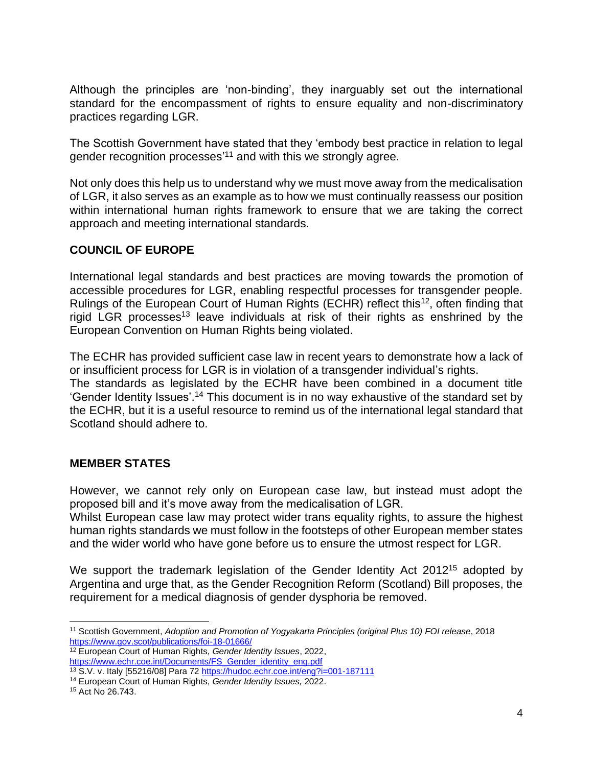Although the principles are 'non-binding', they inarguably set out the international standard for the encompassment of rights to ensure equality and non-discriminatory practices regarding LGR.

The Scottish Government have stated that they 'embody best practice in relation to legal gender recognition processes'<sup>11</sup> and with this we strongly agree.

Not only does this help us to understand why we must move away from the medicalisation of LGR, it also serves as an example as to how we must continually reassess our position within international human rights framework to ensure that we are taking the correct approach and meeting international standards.

#### **COUNCIL OF EUROPE**

International legal standards and best practices are moving towards the promotion of accessible procedures for LGR, enabling respectful processes for transgender people. Rulings of the European Court of Human Rights (ECHR) reflect this<sup>12</sup>, often finding that rigid LGR processes<sup>13</sup> leave individuals at risk of their rights as enshrined by the European Convention on Human Rights being violated.

The ECHR has provided sufficient case law in recent years to demonstrate how a lack of or insufficient process for LGR is in violation of a transgender individual's rights. The standards as legislated by the ECHR have been combined in a document title 'Gender Identity Issues'. <sup>14</sup> This document is in no way exhaustive of the standard set by the ECHR, but it is a useful resource to remind us of the international legal standard that

Scotland should adhere to.

#### **MEMBER STATES**

However, we cannot rely only on European case law, but instead must adopt the proposed bill and it's move away from the medicalisation of LGR.

Whilst European case law may protect wider trans equality rights, to assure the highest human rights standards we must follow in the footsteps of other European member states and the wider world who have gone before us to ensure the utmost respect for LGR.

We support the trademark legislation of the Gender Identity Act 2012<sup>15</sup> adopted by Argentina and urge that, as the Gender Recognition Reform (Scotland) Bill proposes, the requirement for a medical diagnosis of gender dysphoria be removed.

<sup>11</sup> Scottish Government, *Adoption and Promotion of Yogyakarta Principles (original Plus 10) FOI release*, 2018 <https://www.gov.scot/publications/foi-18-01666/>

<sup>12</sup> European Court of Human Rights, *Gender Identity Issues*, 2022, [https://www.echr.coe.int/Documents/FS\\_Gender\\_identity\\_eng.pdf](https://www.echr.coe.int/Documents/FS_Gender_identity_eng.pdf)

<sup>13</sup> S.V. v. Italy [55216/08] Para 72<https://hudoc.echr.coe.int/eng?i=001-187111>

<sup>14</sup> European Court of Human Rights, *Gender Identity Issues,* 2022.

<sup>15</sup> Act No 26.743.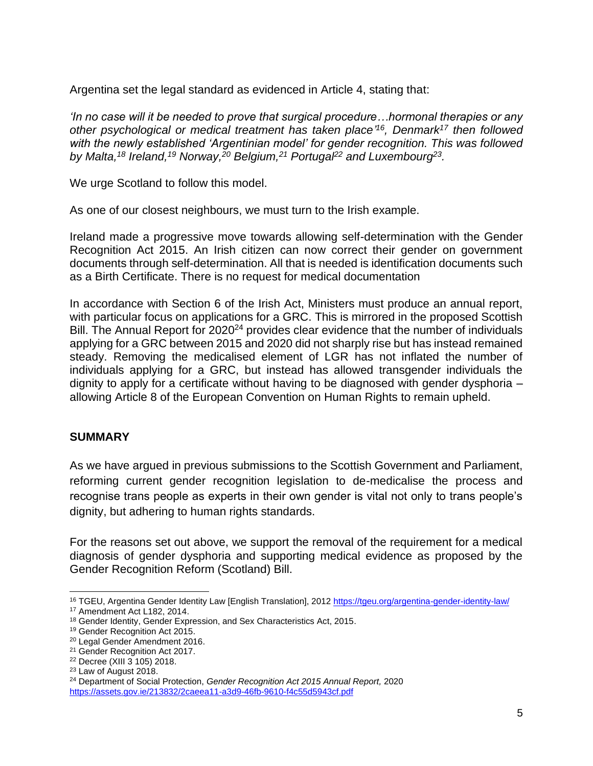Argentina set the legal standard as evidenced in Article 4, stating that:

*'In no case will it be needed to prove that surgical procedure…hormonal therapies or any other psychological or medical treatment has taken place' 16 , Denmark<sup>17</sup> then followed with the newly established 'Argentinian model' for gender recognition. This was followed by Malta, <sup>18</sup> Ireland, <sup>19</sup> Norway, <sup>20</sup> Belgium, <sup>21</sup> Portugal<sup>22</sup> and Luxembourg<sup>23</sup> .* 

We urge Scotland to follow this model.

As one of our closest neighbours, we must turn to the Irish example.

Ireland made a progressive move towards allowing self-determination with the Gender Recognition Act 2015. An Irish citizen can now correct their gender on government documents through self-determination. All that is needed is identification documents such as a Birth Certificate. There is no request for medical documentation

In accordance with Section 6 of the Irish Act, Ministers must produce an annual report, with particular focus on applications for a GRC. This is mirrored in the proposed Scottish Bill. The Annual Report for 2020<sup>24</sup> provides clear evidence that the number of individuals applying for a GRC between 2015 and 2020 did not sharply rise but has instead remained steady. Removing the medicalised element of LGR has not inflated the number of individuals applying for a GRC, but instead has allowed transgender individuals the dignity to apply for a certificate without having to be diagnosed with gender dysphoria – allowing Article 8 of the European Convention on Human Rights to remain upheld.

#### **SUMMARY**

As we have argued in previous submissions to the Scottish Government and Parliament, reforming current gender recognition legislation to de-medicalise the process and recognise trans people as experts in their own gender is vital not only to trans people's dignity, but adhering to human rights standards.

For the reasons set out above, we support the removal of the requirement for a medical diagnosis of gender dysphoria and supporting medical evidence as proposed by the Gender Recognition Reform (Scotland) Bill.

<sup>&</sup>lt;sup>16</sup> TGEU, Argentina Gender Identity Law [English Translation], 2012<https://tgeu.org/argentina-gender-identity-law/> <sup>17</sup> Amendment Act L182, 2014.

<sup>18</sup> Gender Identity, Gender Expression, and Sex Characteristics Act, 2015.

<sup>&</sup>lt;sup>19</sup> Gender Recognition Act 2015.

<sup>20</sup> Legal Gender Amendment 2016.

<sup>21</sup> Gender Recognition Act 2017.

<sup>22</sup> Decree (XIII 3 105) 2018.

<sup>23</sup> Law of August 2018.

<sup>24</sup> Department of Social Protection, *Gender Recognition Act 2015 Annual Report,* 2020 <https://assets.gov.ie/213832/2caeea11-a3d9-46fb-9610-f4c55d5943cf.pdf>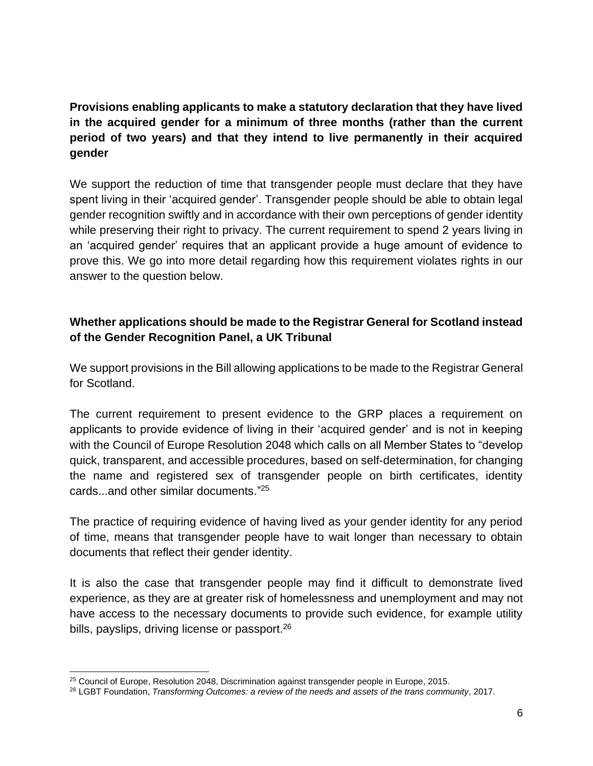**Provisions enabling applicants to make a statutory declaration that they have lived in the acquired gender for a minimum of three months (rather than the current period of two years) and that they intend to live permanently in their acquired gender**

We support the reduction of time that transgender people must declare that they have spent living in their 'acquired gender'. Transgender people should be able to obtain legal gender recognition swiftly and in accordance with their own perceptions of gender identity while preserving their right to privacy. The current requirement to spend 2 years living in an 'acquired gender' requires that an applicant provide a huge amount of evidence to prove this. We go into more detail regarding how this requirement violates rights in our answer to the question below.

# **Whether applications should be made to the Registrar General for Scotland instead of the Gender Recognition Panel, a UK Tribunal**

We support provisions in the Bill allowing applications to be made to the Registrar General for Scotland.

The current requirement to present evidence to the GRP places a requirement on applicants to provide evidence of living in their 'acquired gender' and is not in keeping with the Council of Europe Resolution 2048 which calls on all Member States to "develop quick, transparent, and accessible procedures, based on self-determination, for changing the name and registered sex of transgender people on birth certificates, identity cards...and other similar documents." 25

The practice of requiring evidence of having lived as your gender identity for any period of time, means that transgender people have to wait longer than necessary to obtain documents that reflect their gender identity.

It is also the case that transgender people may find it difficult to demonstrate lived experience, as they are at greater risk of homelessness and unemployment and may not have access to the necessary documents to provide such evidence, for example utility bills, payslips, driving license or passport.<sup>26</sup>

<sup>25</sup> Council of Europe, Resolution 2048, Discrimination against transgender people in Europe, 2015.

<sup>26</sup> LGBT Foundation, *Transforming Outcomes: a review of the needs and assets of the trans community*, 2017.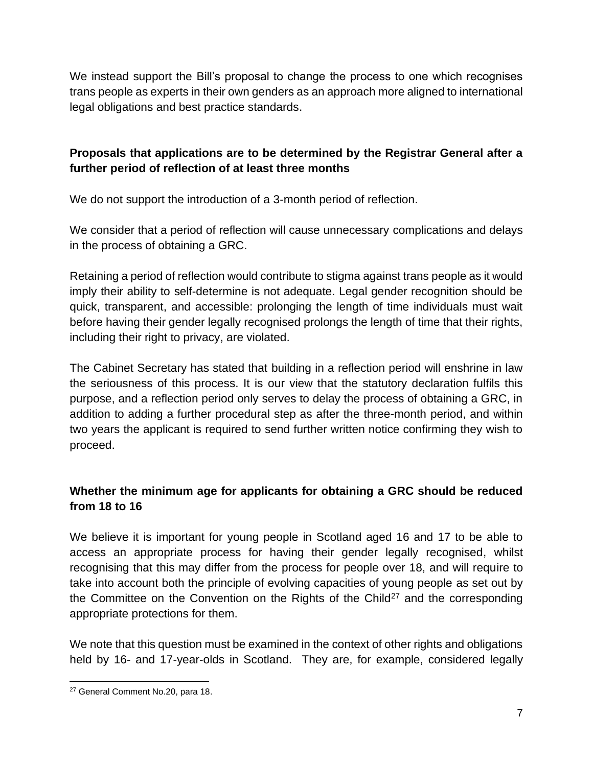We instead support the Bill's proposal to change the process to one which recognises trans people as experts in their own genders as an approach more aligned to international legal obligations and best practice standards.

### **Proposals that applications are to be determined by the Registrar General after a further period of reflection of at least three months**

We do not support the introduction of a 3-month period of reflection.

We consider that a period of reflection will cause unnecessary complications and delays in the process of obtaining a GRC.

Retaining a period of reflection would contribute to stigma against trans people as it would imply their ability to self-determine is not adequate. Legal gender recognition should be quick, transparent, and accessible: prolonging the length of time individuals must wait before having their gender legally recognised prolongs the length of time that their rights, including their right to privacy, are violated.

The Cabinet Secretary has stated that building in a reflection period will enshrine in law the seriousness of this process. It is our view that the statutory declaration fulfils this purpose, and a reflection period only serves to delay the process of obtaining a GRC, in addition to adding a further procedural step as after the three-month period, and within two years the applicant is required to send further written notice confirming they wish to proceed.

# **Whether the minimum age for applicants for obtaining a GRC should be reduced from 18 to 16**

We believe it is important for young people in Scotland aged 16 and 17 to be able to access an appropriate process for having their gender legally recognised, whilst recognising that this may differ from the process for people over 18, and will require to take into account both the principle of evolving capacities of young people as set out by the Committee on the Convention on the Rights of the Child<sup>27</sup> and the corresponding appropriate protections for them.

We note that this question must be examined in the context of other rights and obligations held by 16- and 17-year-olds in Scotland. They are, for example, considered legally

<sup>27</sup> General Comment No.20, para 18.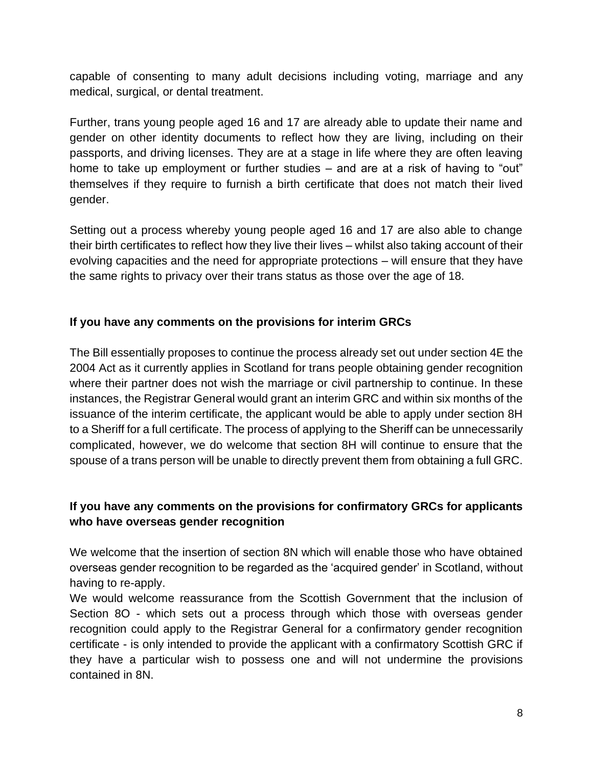capable of consenting to many adult decisions including voting, marriage and any medical, surgical, or dental treatment.

Further, trans young people aged 16 and 17 are already able to update their name and gender on other identity documents to reflect how they are living, including on their passports, and driving licenses. They are at a stage in life where they are often leaving home to take up employment or further studies – and are at a risk of having to "out" themselves if they require to furnish a birth certificate that does not match their lived gender.

Setting out a process whereby young people aged 16 and 17 are also able to change their birth certificates to reflect how they live their lives – whilst also taking account of their evolving capacities and the need for appropriate protections – will ensure that they have the same rights to privacy over their trans status as those over the age of 18.

#### **If you have any comments on the provisions for interim GRCs**

The Bill essentially proposes to continue the process already set out under section 4E the 2004 Act as it currently applies in Scotland for trans people obtaining gender recognition where their partner does not wish the marriage or civil partnership to continue. In these instances, the Registrar General would grant an interim GRC and within six months of the issuance of the interim certificate, the applicant would be able to apply under section 8H to a Sheriff for a full certificate. The process of applying to the Sheriff can be unnecessarily complicated, however, we do welcome that section 8H will continue to ensure that the spouse of a trans person will be unable to directly prevent them from obtaining a full GRC.

### **If you have any comments on the provisions for confirmatory GRCs for applicants who have overseas gender recognition**

We welcome that the insertion of section 8N which will enable those who have obtained overseas gender recognition to be regarded as the 'acquired gender' in Scotland, without having to re-apply.

We would welcome reassurance from the Scottish Government that the inclusion of Section 8O - which sets out a process through which those with overseas gender recognition could apply to the Registrar General for a confirmatory gender recognition certificate - is only intended to provide the applicant with a confirmatory Scottish GRC if they have a particular wish to possess one and will not undermine the provisions contained in 8N.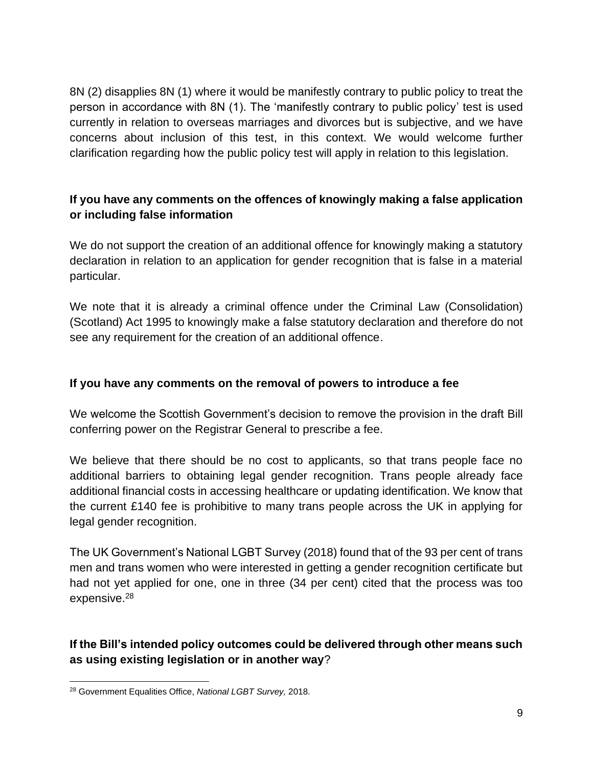8N (2) disapplies 8N (1) where it would be manifestly contrary to public policy to treat the person in accordance with 8N (1). The 'manifestly contrary to public policy' test is used currently in relation to overseas marriages and divorces but is subjective, and we have concerns about inclusion of this test, in this context. We would welcome further clarification regarding how the public policy test will apply in relation to this legislation.

# **If you have any comments on the offences of knowingly making a false application or including false information**

We do not support the creation of an additional offence for knowingly making a statutory declaration in relation to an application for gender recognition that is false in a material particular.

We note that it is already a criminal offence under the Criminal Law (Consolidation) (Scotland) Act 1995 to knowingly make a false statutory declaration and therefore do not see any requirement for the creation of an additional offence.

#### **If you have any comments on the removal of powers to introduce a fee**

We welcome the Scottish Government's decision to remove the provision in the draft Bill conferring power on the Registrar General to prescribe a fee.

We believe that there should be no cost to applicants, so that trans people face no additional barriers to obtaining legal gender recognition. Trans people already face additional financial costs in accessing healthcare or updating identification. We know that the current £140 fee is prohibitive to many trans people across the UK in applying for legal gender recognition.

The UK Government's National LGBT Survey (2018) found that of the 93 per cent of trans men and trans women who were interested in getting a gender recognition certificate but had not yet applied for one, one in three (34 per cent) cited that the process was too expensive. 28

# **If the Bill's intended policy outcomes could be delivered through other means such as using existing legislation or in another way**?

<sup>28</sup> Government Equalities Office, *National LGBT Survey,* 2018.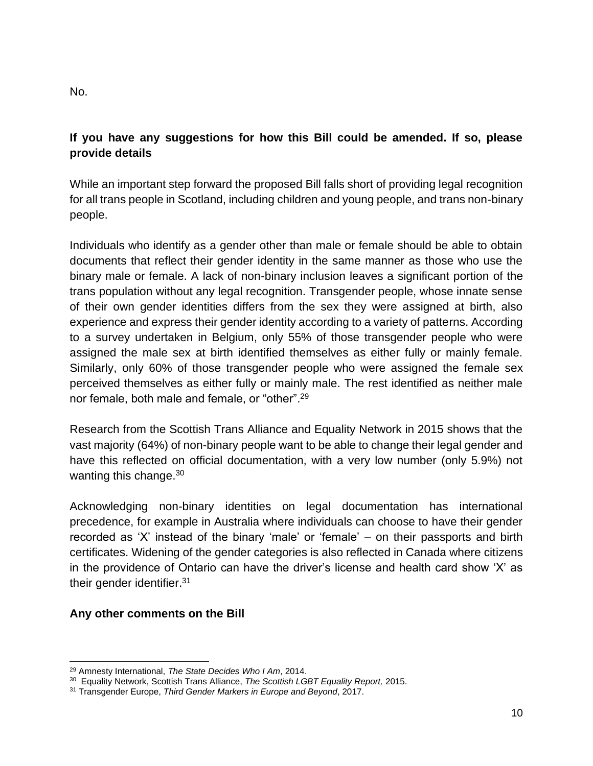No.

# **If you have any suggestions for how this Bill could be amended. If so, please provide details**

While an important step forward the proposed Bill falls short of providing legal recognition for all trans people in Scotland, including children and young people, and trans non-binary people.

Individuals who identify as a gender other than male or female should be able to obtain documents that reflect their gender identity in the same manner as those who use the binary male or female. A lack of non-binary inclusion leaves a significant portion of the trans population without any legal recognition. Transgender people, whose innate sense of their own gender identities differs from the sex they were assigned at birth, also experience and express their gender identity according to a variety of patterns. According to a survey undertaken in Belgium, only 55% of those transgender people who were assigned the male sex at birth identified themselves as either fully or mainly female. Similarly, only 60% of those transgender people who were assigned the female sex perceived themselves as either fully or mainly male. The rest identified as neither male nor female, both male and female, or "other". 29

Research from the Scottish Trans Alliance and Equality Network in 2015 shows that the vast majority (64%) of non-binary people want to be able to change their legal gender and have this reflected on official documentation, with a very low number (only 5.9%) not wanting this change.<sup>30</sup>

Acknowledging non-binary identities on legal documentation has international precedence, for example in Australia where individuals can choose to have their gender recorded as 'X' instead of the binary 'male' or 'female' – on their passports and birth certificates. Widening of the gender categories is also reflected in Canada where citizens in the providence of Ontario can have the driver's license and health card show 'X' as their gender identifier.<sup>31</sup>

#### **Any other comments on the Bill**

<sup>29</sup> Amnesty International, *The State Decides Who I Am*, 2014.

<sup>30</sup> Equality Network, Scottish Trans Alliance, *The Scottish LGBT Equality Report,* 2015.

<sup>31</sup> Transgender Europe, *Third Gender Markers in Europe and Beyond*, 2017.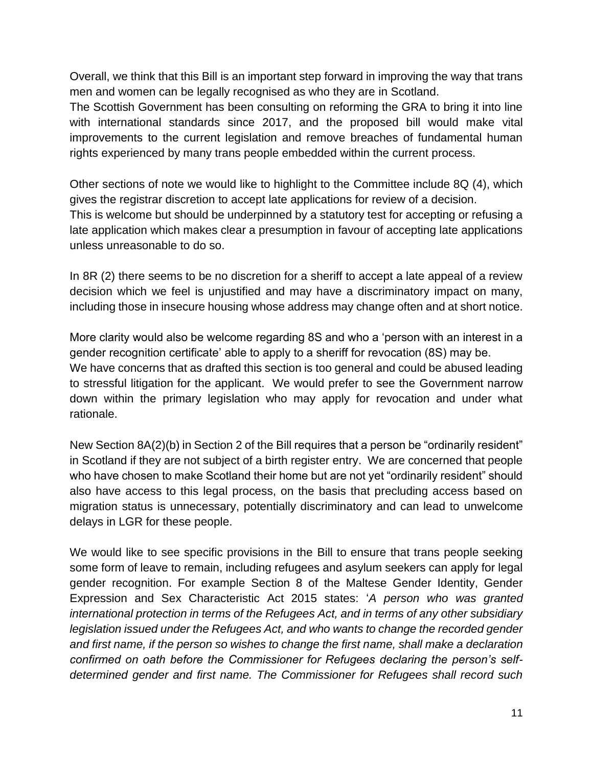Overall, we think that this Bill is an important step forward in improving the way that trans men and women can be legally recognised as who they are in Scotland.

The Scottish Government has been consulting on reforming the GRA to bring it into line with international standards since 2017, and the proposed bill would make vital improvements to the current legislation and remove breaches of fundamental human rights experienced by many trans people embedded within the current process.

Other sections of note we would like to highlight to the Committee include 8Q (4), which gives the registrar discretion to accept late applications for review of a decision. This is welcome but should be underpinned by a statutory test for accepting or refusing a late application which makes clear a presumption in favour of accepting late applications unless unreasonable to do so.

In 8R (2) there seems to be no discretion for a sheriff to accept a late appeal of a review decision which we feel is unjustified and may have a discriminatory impact on many, including those in insecure housing whose address may change often and at short notice.

More clarity would also be welcome regarding 8S and who a 'person with an interest in a gender recognition certificate' able to apply to a sheriff for revocation (8S) may be. We have concerns that as drafted this section is too general and could be abused leading to stressful litigation for the applicant. We would prefer to see the Government narrow down within the primary legislation who may apply for revocation and under what rationale.

New Section 8A(2)(b) in Section 2 of the Bill requires that a person be "ordinarily resident" in Scotland if they are not subject of a birth register entry. We are concerned that people who have chosen to make Scotland their home but are not yet "ordinarily resident" should also have access to this legal process, on the basis that precluding access based on migration status is unnecessary, potentially discriminatory and can lead to unwelcome delays in LGR for these people.

We would like to see specific provisions in the Bill to ensure that trans people seeking some form of leave to remain, including refugees and asylum seekers can apply for legal gender recognition. For example Section 8 of the Maltese Gender Identity, Gender Expression and Sex Characteristic Act 2015 states: '*A person who was granted international protection in terms of the Refugees Act, and in terms of any other subsidiary legislation issued under the Refugees Act, and who wants to change the recorded gender and first name, if the person so wishes to change the first name, shall make a declaration confirmed on oath before the Commissioner for Refugees declaring the person's selfdetermined gender and first name. The Commissioner for Refugees shall record such*